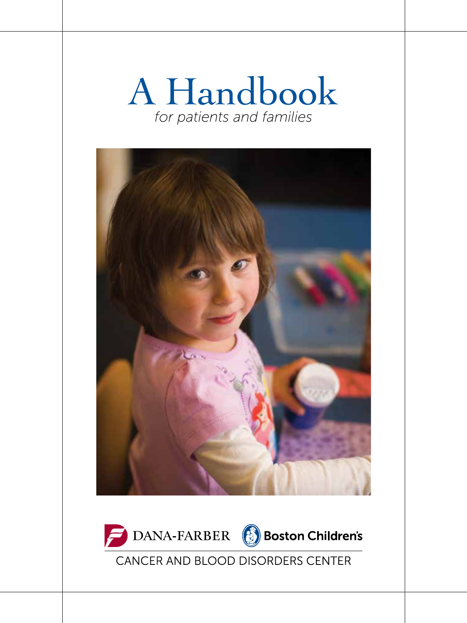### A Handbook *for patients and families*





CANCER AND BLOOD DISORDERS CENTER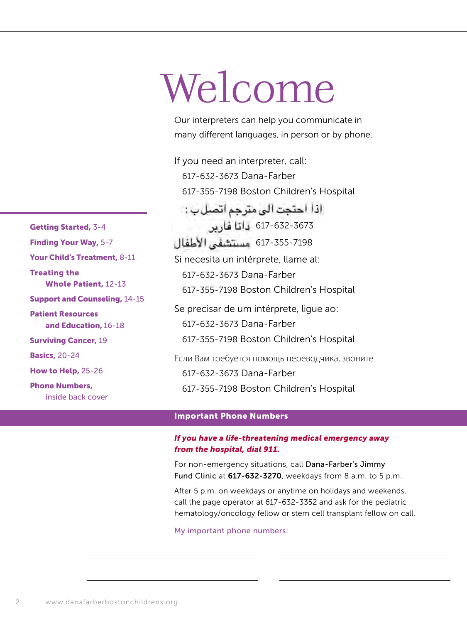# Welcome

Our interpreters can help you communicate in many different languages, in person or by phone.

If you need an interpreter, call: 617-632-3673 Dana-Farber 617-355-7198 Boston Children's Hospital اذا احتجت الى مترجم اتصل ب : 617-632-3673 617-355-7198Si necesita un intérprete, llame al: 617-632-3673 Dana-Farber 617-355-7198 Boston Children's Hospital Se precisar de um intérprete, ligue ao: 617-632-3673 Dana-Farber 617-355-7198 Boston Children's Hospital Если Вам требуется помощь переводчика, звоните 617-632-3673 Dana-Farber 617-355-7198 Boston Children's Hospital

#### Important Phone Numbers

#### *If you have a life-threatening medical emergency away from the hospital, dial 911.*

For non-emergency situations, call Dana-Farber's Jimmy Fund Clinic at 617-632-3270, weekdays from 8 a.m. to 5 p.m.

After 5 p.m. on weekdays or anytime on holidays and weekends, call the page operator at 617-632-3352 and ask for the pediatric hematology/oncology fellow or stem cell transplant fellow on call.

My important phone numbers:

Getting Started, 3-4 Finding Your Way, 5-7 Your Child's Treatment, 8-11 Treating the Whole Patient, 12-13 Support and Counseling, 14-15 Patient Resources and Education, 16-18 Surviving Cancer, 19 Basics, 20-24 How to Help, 25-26 Phone Numbers, inside back cover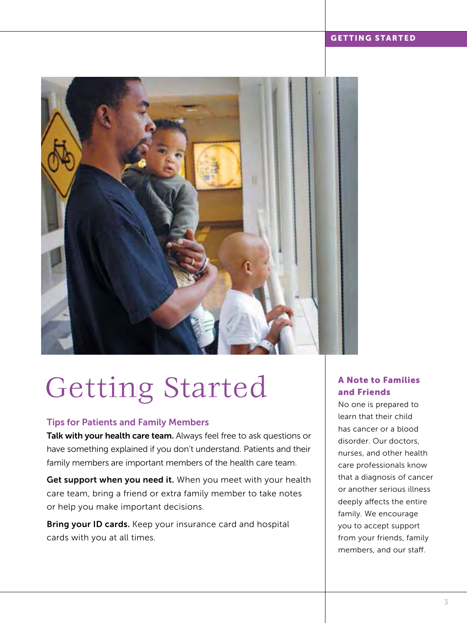#### GETTING STARTED



### Getting Started

#### Tips for Patients and Family Members

Talk with your health care team. Always feel free to ask questions or have something explained if you don't understand. Patients and their family members are important members of the health care team.

Get support when you need it. When you meet with your health care team, bring a friend or extra family member to take notes or help you make important decisions.

Bring your ID cards. Keep your insurance card and hospital cards with you at all times.

#### A Note to Families and Friends

No one is prepared to learn that their child has cancer or a blood disorder. Our doctors, nurses, and other health care professionals know that a diagnosis of cancer or another serious illness deeply affects the entire family. We encourage you to accept support from your friends, family members, and our staff.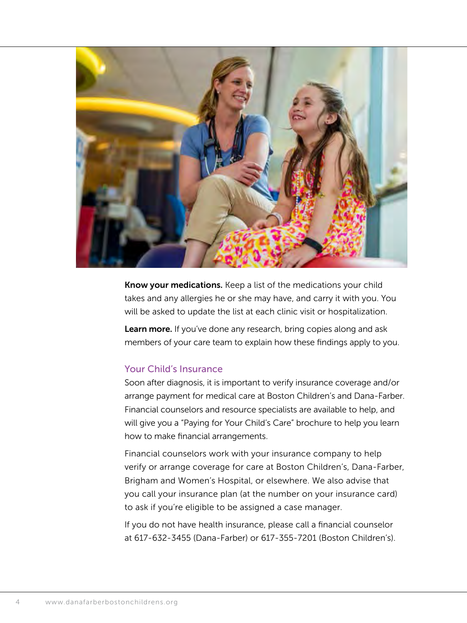

Know your medications. Keep a list of the medications your child takes and any allergies he or she may have, and carry it with you. You will be asked to update the list at each clinic visit or hospitalization.

Learn more. If you've done any research, bring copies along and ask members of your care team to explain how these findings apply to you.

#### Your Child's Insurance

Soon after diagnosis, it is important to verify insurance coverage and/or arrange payment for medical care at Boston Children's and Dana-Farber. Financial counselors and resource specialists are available to help, and will give you a "Paying for Your Child's Care" brochure to help you learn how to make financial arrangements.

Financial counselors work with your insurance company to help verify or arrange coverage for care at Boston Children's, Dana-Farber, Brigham and Women's Hospital, or elsewhere. We also advise that you call your insurance plan (at the number on your insurance card) to ask if you're eligible to be assigned a case manager.

If you do not have health insurance, please call a financial counselor at 617-632-3455 (Dana-Farber) or 617-355-7201 (Boston Children's).

4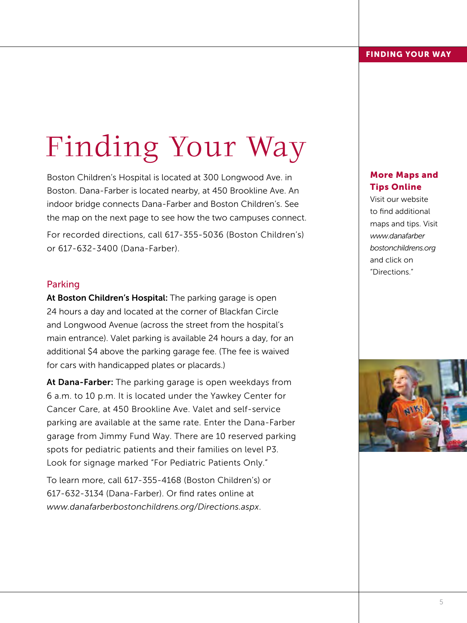## Finding Your Way

Boston Children's Hospital is located at 300 Longwood Ave. in Boston. Dana-Farber is located nearby, at 450 Brookline Ave. An indoor bridge connects Dana-Farber and Boston Children's. See the map on the next page to see how the two campuses connect.

For recorded directions, call 617-355-5036 (Boston Children's) or 617-632-3400 (Dana-Farber).

#### Parking

At Boston Children's Hospital: The parking garage is open 24 hours a day and located at the corner of Blackfan Circle and Longwood Avenue (across the street from the hospital's main entrance). Valet parking is available 24 hours a day, for an additional \$4 above the parking garage fee. (The fee is waived for cars with handicapped plates or placards.)

At Dana-Farber: The parking garage is open weekdays from 6 a.m. to 10 p.m. It is located under the Yawkey Center for Cancer Care, at 450 Brookline Ave. Valet and self-service parking are available at the same rate. Enter the Dana-Farber garage from Jimmy Fund Way. There are 10 reserved parking spots for pediatric patients and their families on level P3. Look for signage marked "For Pediatric Patients Only."

To learn more, call 617-355-4168 (Boston Children's) or 617-632-3134 (Dana-Farber). Or find rates online at *www.danafarberbostonchildrens.org/Directions.aspx*.

#### More Maps and Tips Online

Visit our website to find additional maps and tips. Visit *www.danafarber bostonchildrens.org* and click on "Directions."

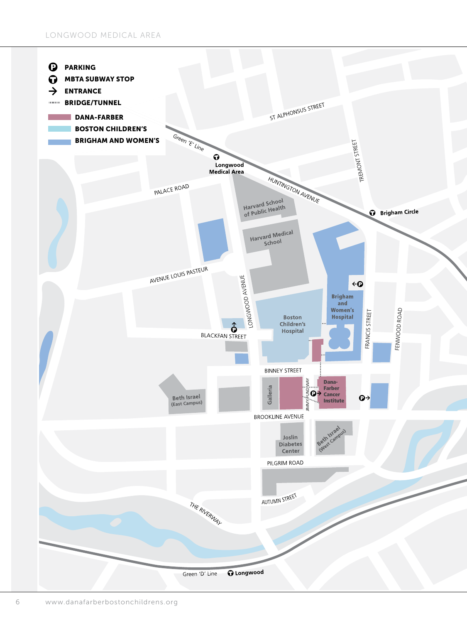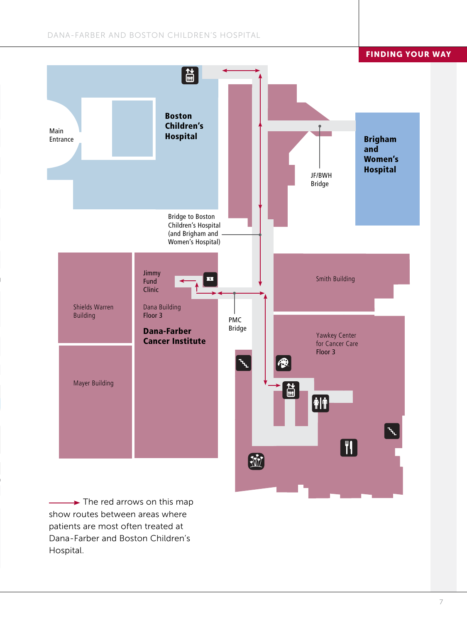#### DANA-FARBER AND BOSTON CHILDREN'S HOSPITAL

FINDING YOUR WAY



 $\rightarrow$  The red arrows on this map show routes between areas where patients are most often treated at Dana-Farber and Boston Children's Hospital.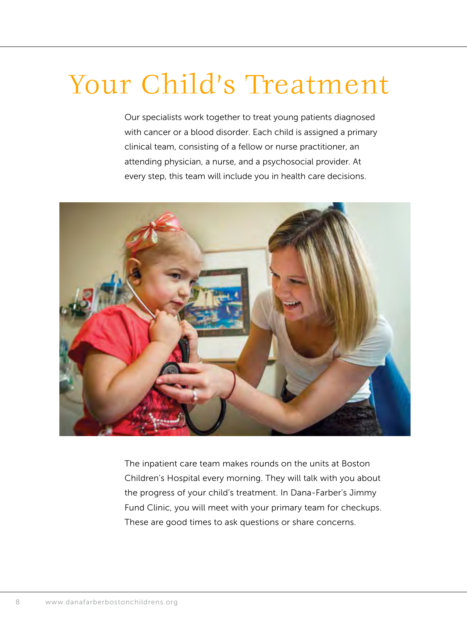### Your Child's Treatment

Our specialists work together to treat young patients diagnosed with cancer or a blood disorder. Each child is assigned a primary clinical team, consisting of a fellow or nurse practitioner, an attending physician, a nurse, and a psychosocial provider. At every step, this team will include you in health care decisions.



The inpatient care team makes rounds on the units at Boston Children's Hospital every morning. They will talk with you about the progress of your child's treatment. In Dana-Farber's Jimmy Fund Clinic, you will meet with your primary team for checkups. These are good times to ask questions or share concerns.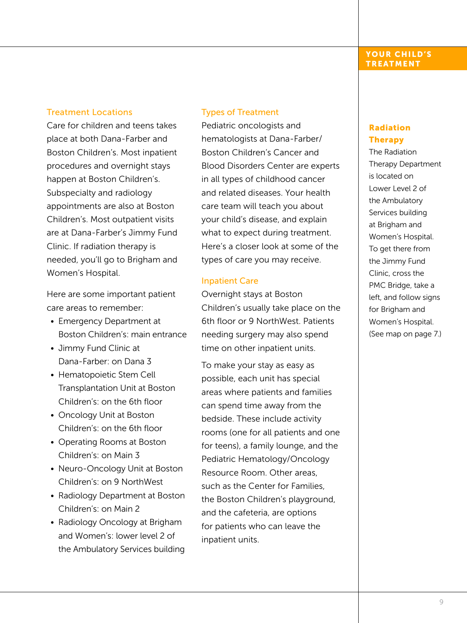#### Treatment Locations

Care for children and teens takes place at both Dana-Farber and Boston Children's. Most inpatient procedures and overnight stays happen at Boston Children's. Subspecialty and radiology appointments are also at Boston Children's. Most outpatient visits are at Dana-Farber's Jimmy Fund Clinic. If radiation therapy is needed, you'll go to Brigham and Women's Hospital.

Here are some important patient care areas to remember:

- Emergency Department at Boston Children's: main entrance
- Jimmy Fund Clinic at Dana-Farber: on Dana 3
- Hematopoietic Stem Cell Transplantation Unit at Boston Children's: on the 6th floor
- Oncology Unit at Boston Children's: on the 6th floor
- Operating Rooms at Boston Children's: on Main 3
- Neuro-Oncology Unit at Boston Children's: on 9 NorthWest
- Radiology Department at Boston Children's: on Main 2
- Radiology Oncology at Brigham and Women's: lower level 2 of the Ambulatory Services building

#### Types of Treatment

Pediatric oncologists and hematologists at Dana-Farber/ Boston Children's Cancer and Blood Disorders Center are experts in all types of childhood cancer and related diseases. Your health care team will teach you about your child's disease, and explain what to expect during treatment. Here's a closer look at some of the types of care you may receive.

#### Inpatient Care

Overnight stays at Boston Children's usually take place on the 6th floor or 9 NorthWest. Patients needing surgery may also spend time on other inpatient units.

To make your stay as easy as possible, each unit has special areas where patients and families can spend time away from the bedside. These include activity rooms (one for all patients and one for teens), a family lounge, and the Pediatric Hematology/Oncology Resource Room. Other areas, such as the Center for Families, the Boston Children's playground, and the cafeteria, are options for patients who can leave the inpatient units.

#### YOUR CHILD'S TREATMENT

#### Radiation Therapy

The Radiation Therapy Department is located on Lower Level 2 of the Ambulatory Services building at Brigham and Women's Hospital. To get there from the Jimmy Fund Clinic, cross the PMC Bridge, take a left, and follow signs for Brigham and Women's Hospital. (See map on page 7.)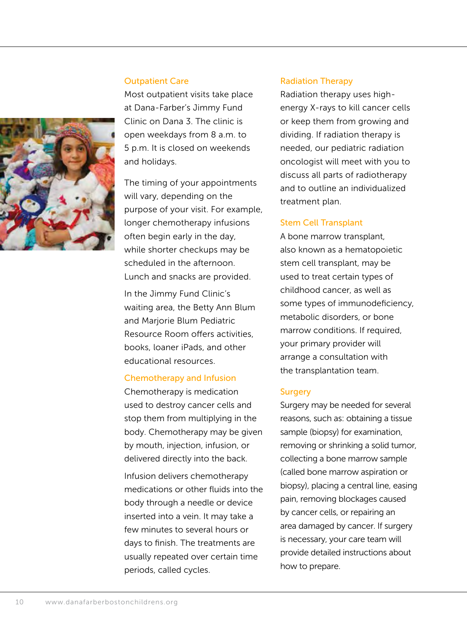

#### Outpatient Care

Most outpatient visits take place at Dana-Farber's Jimmy Fund Clinic on Dana 3. The clinic is open weekdays from 8 a.m. to 5 p.m. It is closed on weekends and holidays.

The timing of your appointments will vary, depending on the purpose of your visit. For example, longer chemotherapy infusions often begin early in the day, while shorter checkups may be scheduled in the afternoon. Lunch and snacks are provided.

In the Jimmy Fund Clinic's waiting area, the Betty Ann Blum and Marjorie Blum Pediatric Resource Room offers activities, books, loaner iPads, and other educational resources.

#### Chemotherapy and Infusion

Chemotherapy is medication used to destroy cancer cells and stop them from multiplying in the body. Chemotherapy may be given by mouth, injection, infusion, or delivered directly into the back.

Infusion delivers chemotherapy medications or other fluids into the body through a needle or device inserted into a vein. It may take a few minutes to several hours or days to finish. The treatments are usually repeated over certain time periods, called cycles.

#### Radiation Therapy

Radiation therapy uses highenergy X-rays to kill cancer cells or keep them from growing and dividing. If radiation therapy is needed, our pediatric radiation oncologist will meet with you to discuss all parts of radiotherapy and to outline an individualized treatment plan.

#### Stem Cell Transplant

A bone marrow transplant, also known as a hematopoietic stem cell transplant, may be used to treat certain types of childhood cancer, as well as some types of immunodeficiency, metabolic disorders, or bone marrow conditions. If required, your primary provider will arrange a consultation with the transplantation team.

#### **Surgery**

Surgery may be needed for several reasons, such as: obtaining a tissue sample (biopsy) for examination, removing or shrinking a solid tumor, collecting a bone marrow sample (called bone marrow aspiration or biopsy), placing a central line, easing pain, removing blockages caused by cancer cells, or repairing an area damaged by cancer. If surgery is necessary, your care team will provide detailed instructions about how to prepare.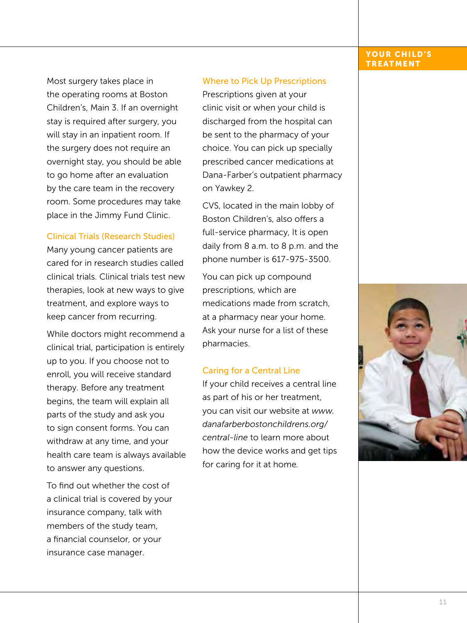#### YOUR CHILD'S TREATMENT

Most surgery takes place in the operating rooms at Boston Children's, Main 3. If an overnight stay is required after surgery, you will stay in an inpatient room. If the surgery does not require an overnight stay, you should be able to go home after an evaluation by the care team in the recovery room. Some procedures may take place in the Jimmy Fund Clinic.

#### Clinical Trials (Research Studies)

Many young cancer patients are cared for in research studies called clinical trials. Clinical trials test new therapies, look at new ways to give treatment, and explore ways to keep cancer from recurring.

While doctors might recommend a clinical trial, participation is entirely up to you. If you choose not to enroll, you will receive standard therapy. Before any treatment begins, the team will explain all parts of the study and ask you to sign consent forms. You can withdraw at any time, and your health care team is always available to answer any questions.

To find out whether the cost of a clinical trial is covered by your insurance company, talk with members of the study team, a financial counselor, or your insurance case manager.

#### Where to Pick Up Prescriptions

Prescriptions given at your clinic visit or when your child is discharged from the hospital can be sent to the pharmacy of your choice. You can pick up specially prescribed cancer medications at Dana-Farber's outpatient pharmacy on Yawkey 2.

CVS, located in the main lobby of Boston Children's, also offers a full-service pharmacy, It is open daily from 8 a.m. to 8 p.m. and the phone number is 617-975-3500.

You can pick up compound prescriptions, which are medications made from scratch, at a pharmacy near your home. Ask your nurse for a list of these pharmacies.

#### Caring for a Central Line

If your child receives a central line as part of his or her treatment, you can visit our website at *www. danafarberbostonchildrens.org/ central-line* to learn more about how the device works and get tips for caring for it at home*.*

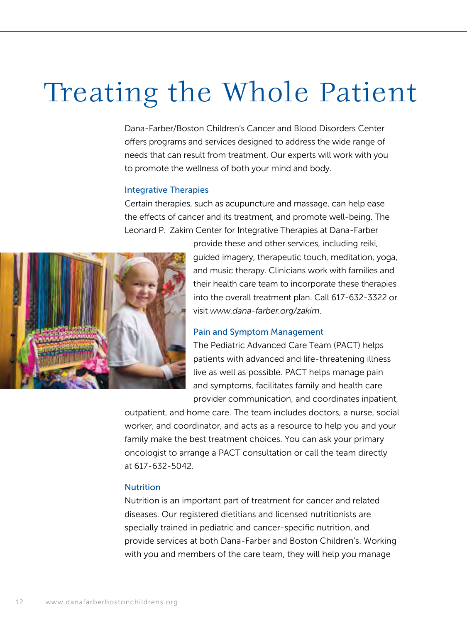### Treating the Whole Patient

Dana-Farber/Boston Children's Cancer and Blood Disorders Center offers programs and services designed to address the wide range of needs that can result from treatment. Our experts will work with you to promote the wellness of both your mind and body.

#### Integrative Therapies

Certain therapies, such as acupuncture and massage, can help ease the effects of cancer and its treatment, and promote well-being. The Leonard P. Zakim Center for Integrative Therapies at Dana-Farber



provide these and other services, including reiki, guided imagery, therapeutic touch, meditation, yoga, and music therapy. Clinicians work with families and their health care team to incorporate these therapies into the overall treatment plan. Call 617-632-3322 or visit *www.dana-farber.org/zakim*.

#### Pain and Symptom Management

The Pediatric Advanced Care Team (PACT) helps patients with advanced and life-threatening illness live as well as possible. PACT helps manage pain and symptoms, facilitates family and health care provider communication, and coordinates inpatient,

outpatient, and home care. The team includes doctors, a nurse, social worker, and coordinator, and acts as a resource to help you and your family make the best treatment choices. You can ask your primary oncologist to arrange a PACT consultation or call the team directly at 617-632-5042.

#### **Nutrition**

Nutrition is an important part of treatment for cancer and related diseases. Our registered dietitians and licensed nutritionists are specially trained in pediatric and cancer-specific nutrition, and provide services at both Dana-Farber and Boston Children's. Working with you and members of the care team, they will help you manage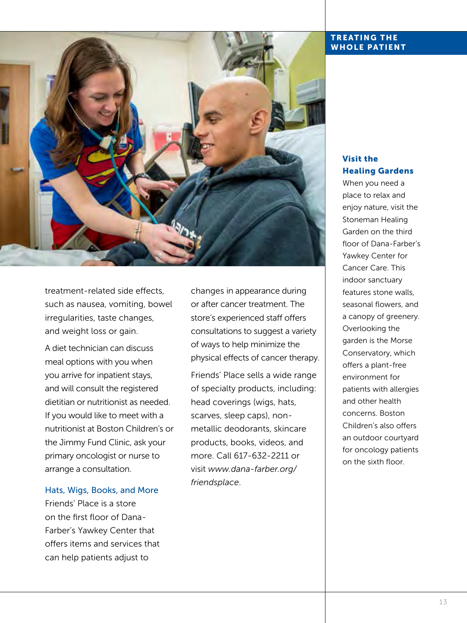

treatment-related side effects, such as nausea, vomiting, bowel irregularities, taste changes, and weight loss or gain.

A diet technician can discuss meal options with you when you arrive for inpatient stays, and will consult the registered dietitian or nutritionist as needed. If you would like to meet with a nutritionist at Boston Children's or the Jimmy Fund Clinic, ask your primary oncologist or nurse to arrange a consultation.

Hats, Wigs, Books, and More Friends' Place is a store on the first floor of Dana-Farber's Yawkey Center that offers items and services that can help patients adjust to

changes in appearance during or after cancer treatment. The store's experienced staff offers consultations to suggest a variety of ways to help minimize the physical effects of cancer therapy.

Friends' Place sells a wide range of specialty products, including: head coverings (wigs, hats, scarves, sleep caps), nonmetallic deodorants, skincare products, books, videos, and more. Call 617-632-2211 or visit *www.dana-farber.org/ friendsplace*.

#### TREATING THE WHOLE PATIENT

#### Visit the Healing Gardens

When you need a place to relax and enjoy nature, visit the Stoneman Healing Garden on the third floor of Dana-Farber's Yawkey Center for Cancer Care. This indoor sanctuary features stone walls, seasonal flowers, and a canopy of greenery. Overlooking the garden is the Morse Conservatory, which offers a plant-free environment for patients with allergies and other health concerns. Boston Children's also offers an outdoor courtyard for oncology patients on the sixth floor.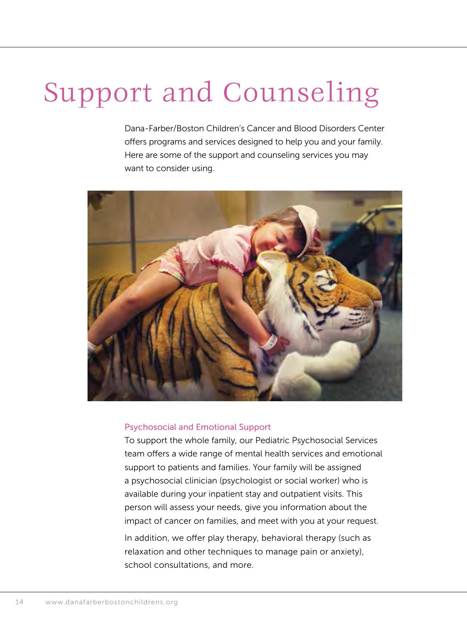## Support and Counseling

Dana-Farber/Boston Children's Cancer and Blood Disorders Center offers programs and services designed to help you and your family. Here are some of the support and counseling services you may want to consider using.



#### Psychosocial and Emotional Support

To support the whole family, our Pediatric Psychosocial Services team offers a wide range of mental health services and emotional support to patients and families. Your family will be assigned a psychosocial clinician (psychologist or social worker) who is available during your inpatient stay and outpatient visits. This person will assess your needs, give you information about the impact of cancer on families, and meet with you at your request.

In addition, we offer play therapy, behavioral therapy (such as relaxation and other techniques to manage pain or anxiety), school consultations, and more.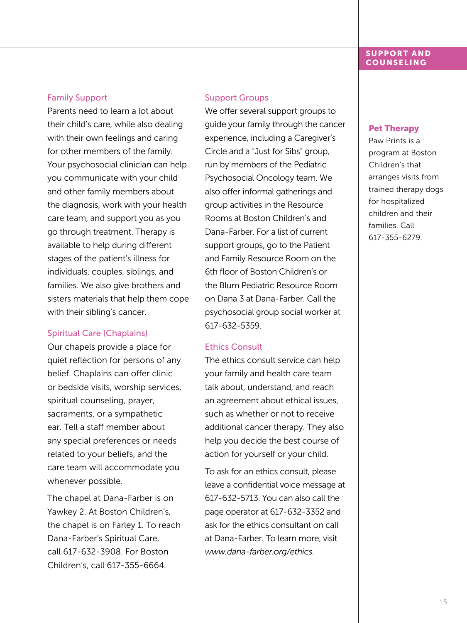#### **SUPPORT AND COUNSELING**

#### Family Support

Parents need to learn a lot about their child's care, while also dealing with their own feelings and caring for other members of the family. Your psychosocial clinician can help you communicate with your child and other family members about the diagnosis, work with your health care team, and support you as you go through treatment. Therapy is available to help during different stages of the patient's illness for individuals, couples, siblings, and families. We also give brothers and sisters materials that help them cope with their sibling's cancer.

#### Spiritual Care (Chaplains)

Our chapels provide a place for quiet reflection for persons of any belief. Chaplains can offer clinic or bedside visits, worship services, spiritual counseling, prayer, sacraments, or a sympathetic ear. Tell a staff member about any special preferences or needs related to your beliefs, and the care team will accommodate you whenever possible.

The chapel at Dana-Farber is on Yawkey 2. At Boston Children's, the chapel is on Farley 1. To reach Dana-Farber's Spiritual Care, call 617-632-3908. For Boston Children's, call 617-355-6664.

#### Support Groups

We offer several support groups to guide your family through the cancer experience, including a Caregiver's Circle and a "Just for Sibs" group, run by members of the Pediatric Psychosocial Oncology team. We also offer informal gatherings and group activities in the Resource Rooms at Boston Children's and Dana-Farber. For a list of current support groups, go to the Patient and Family Resource Room on the 6th floor of Boston Children's or the Blum Pediatric Resource Room on Dana 3 at Dana-Farber. Call the psychosocial group social worker at 617-632-5359.

#### Ethics Consult

The ethics consult service can help your family and health care team talk about, understand, and reach an agreement about ethical issues, such as whether or not to receive additional cancer therapy. They also help you decide the best course of action for yourself or your child.

To ask for an ethics consult, please leave a confidential voice message at 617-632-5713. You can also call the page operator at 617-632-3352 and ask for the ethics consultant on call at Dana-Farber. To learn more, visit *www.dana-farber.org/ethics.*

#### Pet Therapy

Paw Prints is a program at Boston Children's that arranges visits from trained therapy dogs for hospitalized children and their families. Call 617-355-6279.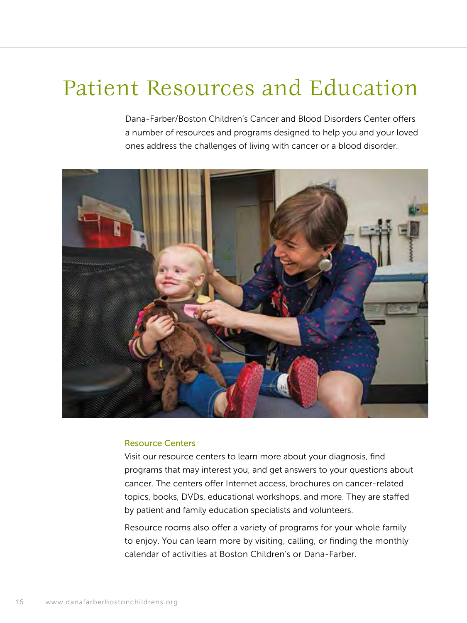### Patient Resources and Education

Dana-Farber/Boston Children's Cancer and Blood Disorders Center offers a number of resources and programs designed to help you and your loved ones address the challenges of living with cancer or a blood disorder.



#### Resource Centers

Visit our resource centers to learn more about your diagnosis, find programs that may interest you, and get answers to your questions about cancer. The centers offer Internet access, brochures on cancer-related topics, books, DVDs, educational workshops, and more. They are staffed by patient and family education specialists and volunteers.

Resource rooms also offer a variety of programs for your whole family to enjoy. You can learn more by visiting, calling, or finding the monthly calendar of activities at Boston Children's or Dana-Farber.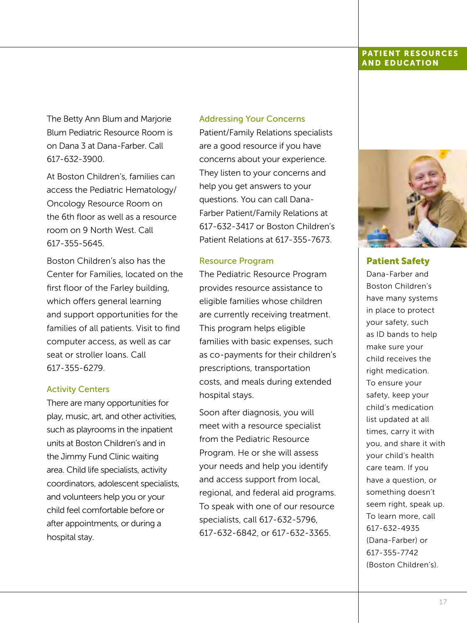#### PATIENT RESOURCES AND EDUCATION

The Betty Ann Blum and Marjorie Blum Pediatric Resource Room is on Dana 3 at Dana-Farber. Call 617-632-3900.

At Boston Children's, families can access the Pediatric Hematology/ Oncology Resource Room on the 6th floor as well as a resource room on 9 North West. Call 617-355-5645.

Boston Children's also has the Center for Families, located on the first floor of the Farley building, which offers general learning and support opportunities for the families of all patients. Visit to find computer access, as well as car seat or stroller loans. Call 617-355-6279.

#### Activity Centers

There are many opportunities for play, music, art, and other activities, such as playrooms in the inpatient units at Boston Children's and in the Jimmy Fund Clinic waiting area. Child life specialists, activity coordinators, adolescent specialists, and volunteers help you or your child feel comfortable before or after appointments, or during a hospital stay.

#### Addressing Your Concerns

Patient/Family Relations specialists are a good resource if you have concerns about your experience. They listen to your concerns and help you get answers to your questions. You can call Dana-Farber Patient/Family Relations at 617-632-3417 or Boston Children's Patient Relations at 617-355-7673.

#### Resource Program

The Pediatric Resource Program provides resource assistance to eligible families whose children are currently receiving treatment. This program helps eligible families with basic expenses, such as co-payments for their children's prescriptions, transportation costs, and meals during extended hospital stays.

Soon after diagnosis, you will meet with a resource specialist from the Pediatric Resource Program. He or she will assess your needs and help you identify and access support from local, regional, and federal aid programs. To speak with one of our resource specialists, call 617-632-5796, 617-632-6842, or 617-632-3365.



Patient Safety

Dana-Farber and Boston Children's have many systems in place to protect your safety, such as ID bands to help make sure your child receives the right medication. To ensure your safety, keep your child's medication list updated at all times, carry it with you, and share it with your child's health care team. If you have a question, or something doesn't seem right, speak up. To learn more, call 617-632-4935 (Dana-Farber) or 617-355-7742 (Boston Children's).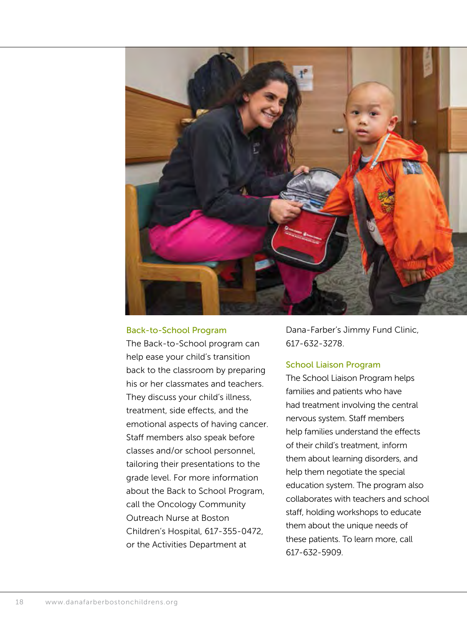

#### Back-to-School Program

The Back-to-School program can help ease your child's transition back to the classroom by preparing his or her classmates and teachers. They discuss your child's illness, treatment, side effects, and the emotional aspects of having cancer. Staff members also speak before classes and/or school personnel, tailoring their presentations to the grade level. For more information about the Back to School Program, call the Oncology Community Outreach Nurse at Boston Children's Hospital, 617-355-0472, or the Activities Department at

Dana-Farber's Jimmy Fund Clinic, 617-632-3278.

#### School Liaison Program

The School Liaison Program helps families and patients who have had treatment involving the central nervous system. Staff members help families understand the effects of their child's treatment, inform them about learning disorders, and help them negotiate the special education system. The program also collaborates with teachers and school staff, holding workshops to educate them about the unique needs of these patients. To learn more, call 617-632-5909.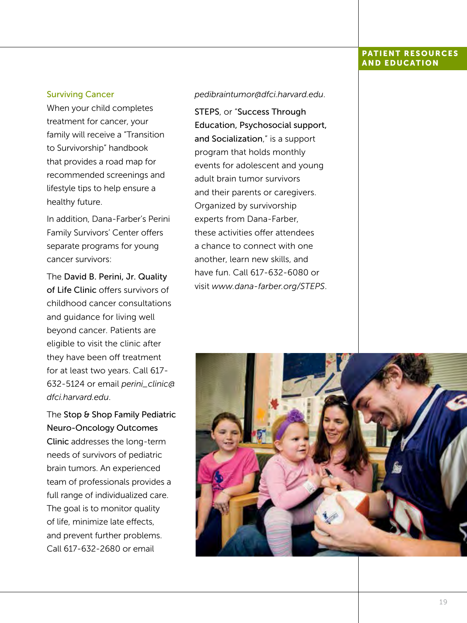#### PATIENT RESOURCES AND EDUCATION

#### Surviving Cancer

When your child completes treatment for cancer, your family will receive a "Transition to Survivorship" handbook that provides a road map for recommended screenings and lifestyle tips to help ensure a healthy future.

In addition, Dana-Farber's Perini Family Survivors' Center offers separate programs for young cancer survivors:

The David B. Perini, Jr. Quality of Life Clinic offers survivors of childhood cancer consultations and guidance for living well beyond cancer. Patients are eligible to visit the clinic after they have been off treatment for at least two years. Call 617- 632-5124 or email *perini\_clinic@ dfci.harvard.edu*.

The Stop & Shop Family Pediatric Neuro-Oncology Outcomes Clinic addresses the long-term needs of survivors of pediatric brain tumors. An experienced team of professionals provides a full range of individualized care. The goal is to monitor quality of life, minimize late effects, and prevent further problems. Call 617-632-2680 or email

#### *pedibraintumor@dfci.harvard.edu*.

STEPS, or "Success Through Education, Psychosocial support, and Socialization," is a support program that holds monthly events for adolescent and young adult brain tumor survivors and their parents or caregivers. Organized by survivorship experts from Dana-Farber, these activities offer attendees a chance to connect with one another, learn new skills, and have fun. Call 617-632-6080 or visit *www.dana-farber.org/STEPS*.

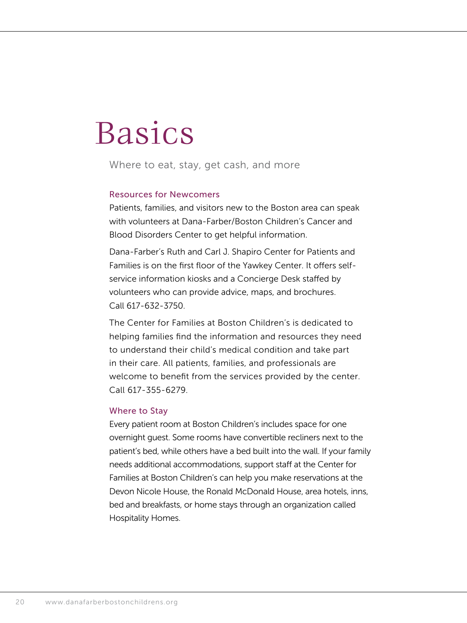## Basics

Where to eat, stay, get cash, and more

#### Resources for Newcomers

Patients, families, and visitors new to the Boston area can speak with volunteers at Dana-Farber/Boston Children's Cancer and Blood Disorders Center to get helpful information.

Dana-Farber's Ruth and Carl J. Shapiro Center for Patients and Families is on the first floor of the Yawkey Center. It offers selfservice information kiosks and a Concierge Desk staffed by volunteers who can provide advice, maps, and brochures. Call 617-632-3750.

The Center for Families at Boston Children's is dedicated to helping families find the information and resources they need to understand their child's medical condition and take part in their care. All patients, families, and professionals are welcome to benefit from the services provided by the center. Call 617-355-6279.

#### Where to Stay

Every patient room at Boston Children's includes space for one overnight guest. Some rooms have convertible recliners next to the patient's bed, while others have a bed built into the wall. If your family needs additional accommodations, support staff at the Center for Families at Boston Children's can help you make reservations at the Devon Nicole House, the Ronald McDonald House, area hotels, inns, bed and breakfasts, or home stays through an organization called Hospitality Homes.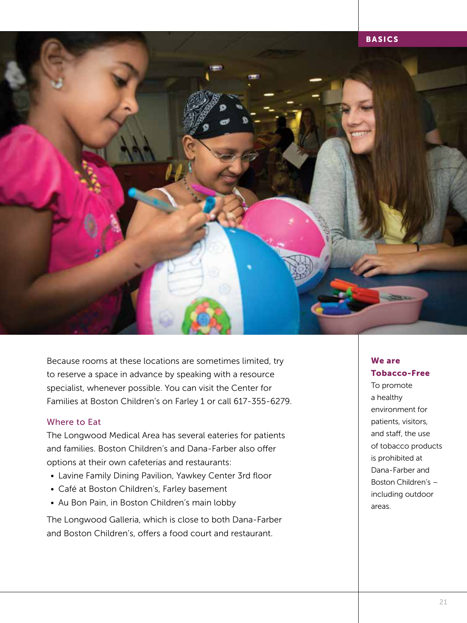

Because rooms at these locations are sometimes limited, try to reserve a space in advance by speaking with a resource specialist, whenever possible. You can visit the Center for Families at Boston Children's on Farley 1 or call 617-355-6279.

#### Where to Eat

The Longwood Medical Area has several eateries for patients and families. Boston Children's and Dana-Farber also offer options at their own cafeterias and restaurants:

- Lavine Family Dining Pavilion, Yawkey Center 3rd floor
- Café at Boston Children's, Farley basement
- Au Bon Pain, in Boston Children's main lobby

The Longwood Galleria, which is close to both Dana-Farber and Boston Children's, offers a food court and restaurant.

#### We are Tobacco-Free

To promote a healthy environment for patients, visitors, and staff, the use of tobacco products is prohibited at Dana-Farber and Boston Children's – including outdoor areas.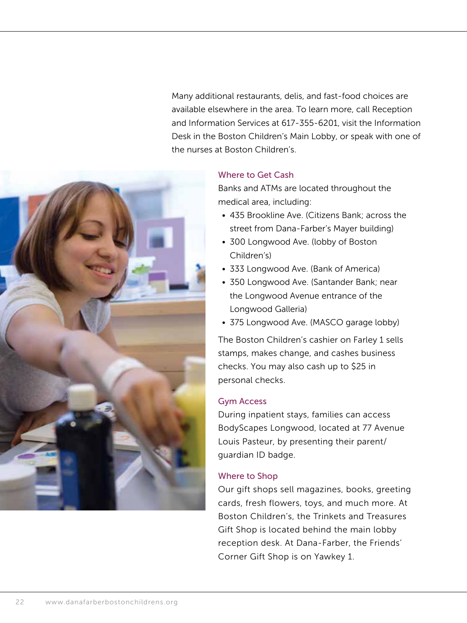Many additional restaurants, delis, and fast-food choices are available elsewhere in the area. To learn more, call Reception and Information Services at 617-355-6201, visit the Information Desk in the Boston Children's Main Lobby, or speak with one of the nurses at Boston Children's.



Banks and ATMs are located throughout the medical area, including:

- 435 Brookline Ave. (Citizens Bank; across the street from Dana-Farber's Mayer building)
- 300 Longwood Ave. (lobby of Boston Children's)
- 333 Longwood Ave. (Bank of America)
- 350 Longwood Ave. (Santander Bank; near the Longwood Avenue entrance of the Longwood Galleria)
- 375 Longwood Ave. (MASCO garage lobby)

The Boston Children's cashier on Farley 1 sells stamps, makes change, and cashes business checks. You may also cash up to \$25 in personal checks.

#### Gym Access

During inpatient stays, families can access BodyScapes Longwood, located at 77 Avenue Louis Pasteur, by presenting their parent/ guardian ID badge.

#### Where to Shop

Our gift shops sell magazines, books, greeting cards, fresh flowers, toys, and much more. At Boston Children's, the Trinkets and Treasures Gift Shop is located behind the main lobby reception desk. At Dana-Farber, the Friends' Corner Gift Shop is on Yawkey 1.

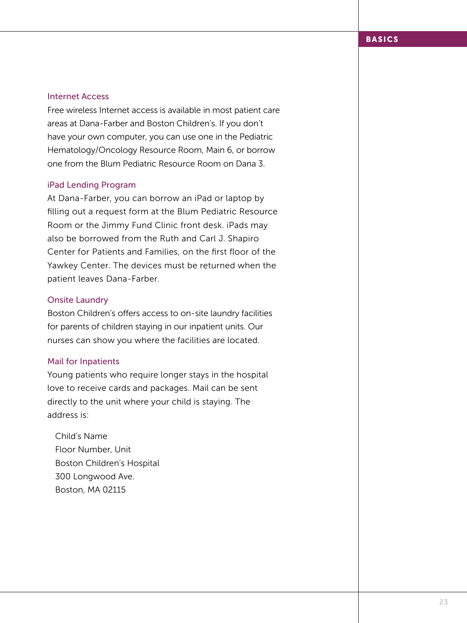#### Internet Access

Free wireless Internet access is available in most patient care areas at Dana-Farber and Boston Children's. If you don't have your own computer, you can use one in the Pediatric Hematology/Oncology Resource Room, Main 6, or borrow one from the Blum Pediatric Resource Room on Dana 3.

#### iPad Lending Program

At Dana-Farber, you can borrow an iPad or laptop by filling out a request form at the Blum Pediatric Resource Room or the Jimmy Fund Clinic front desk. iPads may also be borrowed from the Ruth and Carl J. Shapiro Center for Patients and Families, on the first floor of the Yawkey Center. The devices must be returned when the patient leaves Dana-Farber.

#### Onsite Laundry

Boston Children's offers access to on-site laundry facilities for parents of children staying in our inpatient units. Our nurses can show you where the facilities are located.

#### Mail for Inpatients

Young patients who require longer stays in the hospital love to receive cards and packages. Mail can be sent directly to the unit where your child is staying. The address is:

Child's Name Floor Number, Unit Boston Children's Hospital 300 Longwood Ave. Boston, MA 02115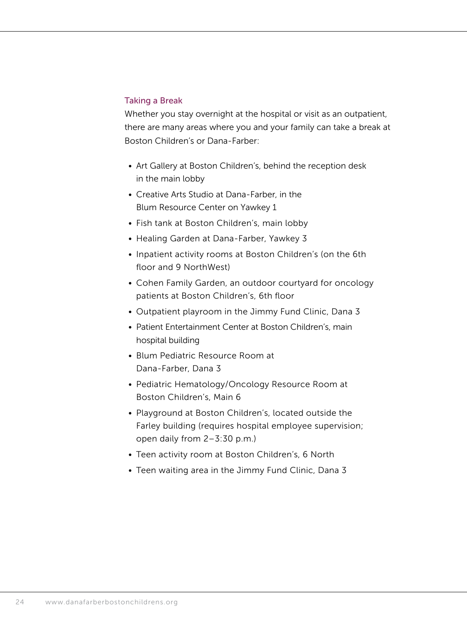#### Taking a Break

Whether you stay overnight at the hospital or visit as an outpatient, there are many areas where you and your family can take a break at Boston Children's or Dana-Farber:

- Art Gallery at Boston Children's, behind the reception desk in the main lobby
- Creative Arts Studio at Dana-Farber, in the Blum Resource Center on Yawkey 1
- Fish tank at Boston Children's, main lobby
- Healing Garden at Dana-Farber, Yawkey 3
- Inpatient activity rooms at Boston Children's (on the 6th floor and 9 NorthWest)
- Cohen Family Garden, an outdoor courtyard for oncology patients at Boston Children's, 6th floor
- Outpatient playroom in the Jimmy Fund Clinic, Dana 3
- Patient Entertainment Center at Boston Children's, main hospital building
- Blum Pediatric Resource Room at Dana-Farber, Dana 3
- Pediatric Hematology/Oncology Resource Room at Boston Children's, Main 6
- Playground at Boston Children's, located outside the Farley building (requires hospital employee supervision; open daily from 2–3:30 p.m.)
- Teen activity room at Boston Children's, 6 North
- Teen waiting area in the Jimmy Fund Clinic, Dana 3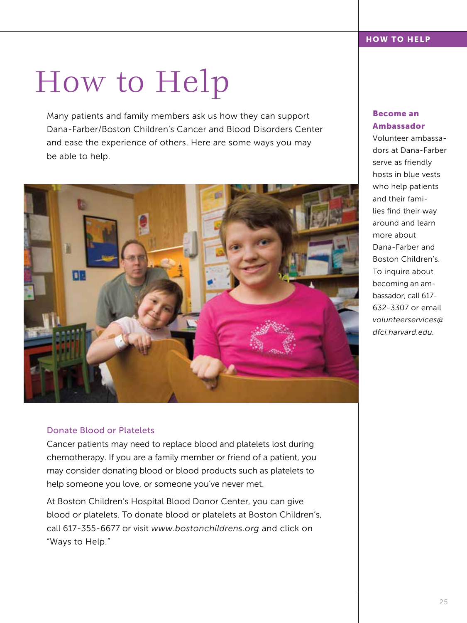## How to Help

Many patients and family members ask us how they can support Dana-Farber/Boston Children's Cancer and Blood Disorders Center and ease the experience of others. Here are some ways you may be able to help.



#### Donate Blood or Platelets

Cancer patients may need to replace blood and platelets lost during chemotherapy. If you are a family member or friend of a patient, you may consider donating blood or blood products such as platelets to help someone you love, or someone you've never met.

At Boston Children's Hospital Blood Donor Center, you can give blood or platelets. To donate blood or platelets at Boston Children's, call 617-355-6677 or visit *www.bostonchildrens.org* and click on "Ways to Help."

#### Become an Ambassador

Volunteer ambassadors at Dana-Farber serve as friendly hosts in blue vests who help patients and their families find their way around and learn more about Dana-Farber and Boston Children's. To inquire about becoming an ambassador, call 617- 632-3307 or email *volunteerservices@ dfci.harvard.edu.*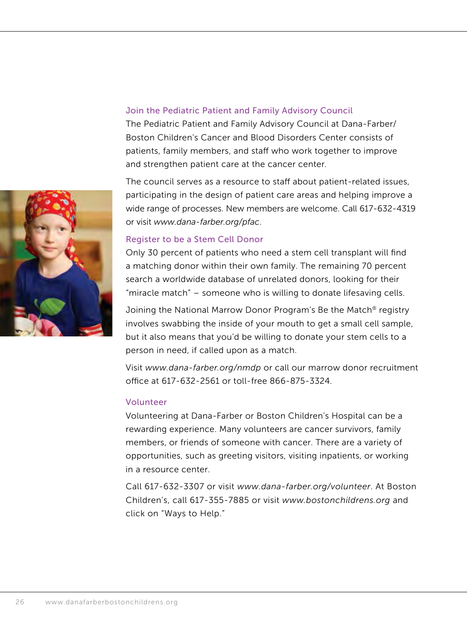

#### Join the Pediatric Patient and Family Advisory Council

The Pediatric Patient and Family Advisory Council at Dana-Farber/ Boston Children's Cancer and Blood Disorders Center consists of patients, family members, and staff who work together to improve and strengthen patient care at the cancer center.

The council serves as a resource to staff about patient-related issues, participating in the design of patient care areas and helping improve a wide range of processes. New members are welcome. Call 617-632-4319 or visit *www.dana-farber.org/pfac*.

#### Register to be a Stem Cell Donor

Only 30 percent of patients who need a stem cell transplant will find a matching donor within their own family. The remaining 70 percent search a worldwide database of unrelated donors, looking for their "miracle match" – someone who is willing to donate lifesaving cells.

Joining the National Marrow Donor Program's Be the Match® registry involves swabbing the inside of your mouth to get a small cell sample, but it also means that you'd be willing to donate your stem cells to a person in need, if called upon as a match.

Visit *www.dana-farber.org/nmdp* or call our marrow donor recruitment office at 617-632-2561 or toll-free 866-875-3324.

#### Volunteer

Volunteering at Dana-Farber or Boston Children's Hospital can be a rewarding experience. Many volunteers are cancer survivors, family members, or friends of someone with cancer. There are a variety of opportunities, such as greeting visitors, visiting inpatients, or working in a resource center.

Call 617-632-3307 or visit *www.dana-farber.org/volunteer*. At Boston Children's, call 617-355-7885 or visit *www.bostonchildrens.org* and click on "Ways to Help."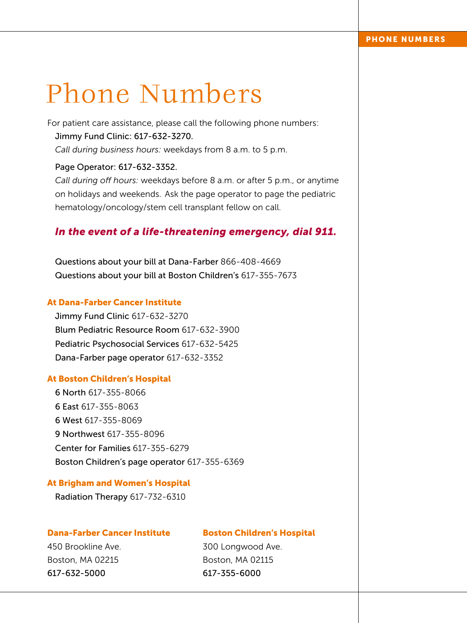### Phone Numbers

For patient care assistance, please call the following phone numbers: Jimmy Fund Clinic: 617-632-3270. *Call during business hours:* weekdays from 8 a.m. to 5 p.m.

#### Page Operator: 617-632-3352.

*Call during off hours:* weekdays before 8 a.m. or after 5 p.m., or anytime on holidays and weekends. Ask the page operator to page the pediatric hematology/oncology/stem cell transplant fellow on call.

#### *In the event of a life-threatening emergency, dial 911.*

Questions about your bill at Dana-Farber 866-408-4669 Questions about your bill at Boston Children's 617-355-7673

#### At Dana-Farber Cancer Institute

Jimmy Fund Clinic 617-632-3270 Blum Pediatric Resource Room 617-632-3900 Pediatric Psychosocial Services 617-632-5425 Dana-Farber page operator 617-632-3352

#### At Boston Children's Hospital

6 North 617-355-8066 6 East 617-355-8063 6 West 617-355-8069 9 Northwest 617-355-8096 Center for Families 617-355-6279 Boston Children's page operator 617-355-6369

#### At Brigham and Women's Hospital

Radiation Therapy 617-732-6310

#### Dana-Farber Cancer Institute

#### Boston Children's Hospital

450 Brookline Ave. Boston, MA 02215 617-632-5000

300 Longwood Ave. Boston, MA 02115 617-355-6000